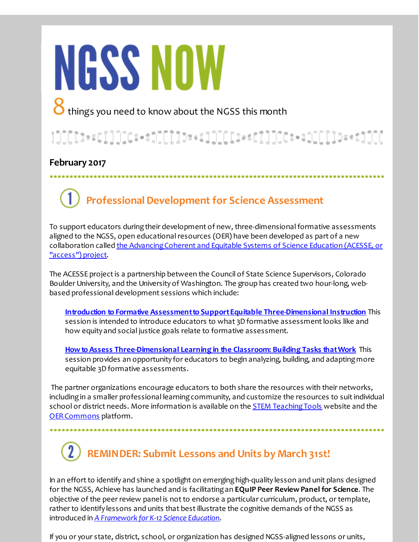# **NGSS NOW**

8things you need to know about the NGSS this month

#### 

#### **February 2017**

## **Professional Development for Science Assessment**

To support educators during their development of new, three-dimensional formative assessments aligned to the NGSS, open educational resources (OER) have been developed as part of a new collaboration called the Advancing Coherent and Equitable Systems of Science Education (ACESSE, or "access") project.

The ACESSE projectis a partnership between the Council of State Science Supervisors, Colorado Boulder University, and the University of Washington. The group has created two hour-long, webbased professional development sessions which include:

**Introduction to Formative Assessmentto SupportEquitable [Three-Dimensional](http://r20.rs6.net/tn.jsp?f=001oZPeFO71mZxRLju5himT42Ro4rYze3HOSBzzmSugGF1bFosOlz9DCGP-M2BD7wUMH3jcMjhscDUjAgx8Yu78X0K-1XXjtNomVdCTzaWaXQ6Sb98rwamGqcPZLNyzwaPqktSSJRKsvROo3Dgq7hNR0_k_2bXYJ-Ho03uKyoWObcgxcpKxA9oQ9q8_SZPfaEct4oHX15U3RLg=&c=&ch=) Instruction** This session is intended to introduce educators to what 3D formative assessment looks like and how equity and social justice goals relate to formative assessment.

**Howto Assess [Three-Dimensional](http://r20.rs6.net/tn.jsp?f=001oZPeFO71mZxRLju5himT42Ro4rYze3HOSBzzmSugGF1bFosOlz9DCGP-M2BD7wUMulwaArPPfmUADd5ir0xO6ID4Kv-MUQyEu2otBHOBzQ82tCLCQOzEj9gmY5uiwPCkJPAz_SnQ-5w3wUauu6WItZGg1sYubK4PUueAmCKfFsxc_Rw7LP9VeGl0Q9IhEs0gAdV-dXw7khU=&c=&ch=) Learning in the Classroom: Building Tasks thatWork** This session provides an opportunity for educators to begin analyzing, building, and adaptingmore equitable 3D formative assessments.

The partner organizations encourage educators to both share the resources with their networks, including in a smaller professional learning community, and customize the resources to suit individual school or district needs. More information is available on the **STEM Teaching Tools** website and the OER Commons platform.

## **REMINDER: Submit Lessons and Units by March 31st!**

In an effort to identify and shine a spotlight on emerging high-quality lesson and unit plans designed for the NGSS, Achieve has launched and is facilitatingan **EQuIP Peer ReviewPanel for Science**. The objective of the peer review panel is not to endorse a particular curriculum, product, or template, rather to identify lessons and units that bestillustrate the cognitive demands of the NGSS as introduced in *A [Framework](http://r20.rs6.net/tn.jsp?f=001oZPeFO71mZxRLju5himT42Ro4rYze3HOSBzzmSugGF1bFosOlz9DCCoRs4bHRTgcm1pjSCryFOEt8G-7mhFzBX5zd99xjyGkO3_V6RTy9zlgcifdMp55PUFbzksD4EEDrColyeEYTv6YCbp72uM_NjIUnOxsUm1w7Ds8fXPeAxPlhxC1hEM90jIaC6LXVlQIumgT73n5k5qY1Ie7hzzuNeVe4tF_SsbI083sZ81s0KImz1V7M4vZdXoTndTA1ALh&c=&ch=) for K-12 Science Education*.

If you or your state, district, school, or organization has designed NGSS-aligned lessons or units,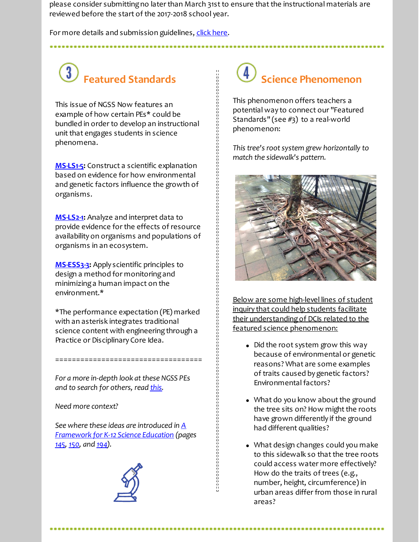please consider submitting no later than March 31st to ensure that the instructional materials are reviewed before the start of the 2017-2018 school year.

For more details and submission guidelines, click [here](http://r20.rs6.net/tn.jsp?f=001oZPeFO71mZxRLju5himT42Ro4rYze3HOSBzzmSugGF1bFosOlz9DCNNDnldQzPADYQjgxTX9HAL15vaek1VELUkTHhwRHQvqblOBkfX4y9F5UXXebCmmO4jpTZzZjNFBWlZBlxpo7K1QWavmqo6YKpe7ZKWBq5xtHjOz7vsq74KdeFvdVRaJZti9bDLq5tpEpTDqqyZvBuqhRWavOLSfHQ==&c=&ch=).

#### $\bigcirc$ **Featured Standards**

This issue of NGSS Now features an example of how certain PEs\* could be bundled in order to develop an instructional unit that engages students in science phenomena.

**[MS-LS1-5](http://r20.rs6.net/tn.jsp?f=001oZPeFO71mZxRLju5himT42Ro4rYze3HOSBzzmSugGF1bFosOlz9DCBJzkTrzzQ4KsejAru6ud2IfT5jb_upNbgBRkortJKwy0SOKeTUCyfHiOiIddTgcDugVNqSFK5tbYYR8Slh2R7IKYk-Op7h0CvkxLD_jx4TwNBYzpGsh8fS43GJ5ObsvWnMhCyw_Zxa9H-w2hmCD2FmKdwdfvuRQrYRSYrQQ6eq6-MpNXoVZL7dUxSpjh4ULRHu0Cslk1sZ8&c=&ch=):** Construct a scientific explanation based on evidence for how environmental and genetic factors influence the growth of organisms.

**[MS-LS2-1](http://r20.rs6.net/tn.jsp?f=001oZPeFO71mZxRLju5himT42Ro4rYze3HOSBzzmSugGF1bFosOlz9DCBJzkTrzzQ4KnicU61pF_meM9TdiGNTcfcTx1eyLhkx84fgnu4wbyTwrxBO3uJmH8zCFJJd-WtSCPuS82q4NuQrbiwb1_QK5E82Z1oNiLEbbdjdHyyoXNllJ5l6CSqpPCUWPv1F7Udx2dIWhE12-aNHo_CCcmLHnRhFBtcFe2DGDEi3tPUD1viLseNu8D2aztjo4jjhxjzyG&c=&ch=):** Analyze and interpret data to provide evidence for the effects of resource availability on organisms and populations of organisms in an ecosystem.

**[MS-ESS3-3:](http://r20.rs6.net/tn.jsp?f=001oZPeFO71mZxRLju5himT42Ro4rYze3HOSBzzmSugGF1bFosOlz9DCBJzkTrzzQ4K6AhHS9yYG1VtHAi3IU0siQNOk2F4T2HC7dtWjGCgv_Pl1EtWa1O3TnkYrxiWH1MQXdDcIQPpzM1z4GjviW5lsEzRP1dyvFyb3lUxn1xnNHsxXzt840hE6lwvx7Og7Ov5FTJFh6fEnESIbhMNTW3SQ3ap3M8_NxqG5th8TJNaz60=&c=&ch=)** Apply scientific principles to design a method for monitoringand minimizinga human impact on the environment.\*

\*The performance expectation (PE) marked with an asterisk integrates traditional science content with engineering through a Practice or Disciplinary Core Idea.

*For a more in-depth look atthese NGSS PEs and to search for others, read [this](http://r20.rs6.net/tn.jsp?f=001oZPeFO71mZxRLju5himT42Ro4rYze3HOSBzzmSugGF1bFosOlz9DCCoRs4bHRTgcPW4nYsvMfeIA3uTGgRr2w_dJRGieUyMdwfITZiPiSr40ZjiMDO5OeZHJzzZI5_xJl1b0WIZPeYoRIAnp0sG_o7j9OPjGUgGNL9It_m5kRL1EdpBtwc5F_SykOjanl5wQGVf8SAGOoiU=&c=&ch=).*

===================================

*Need more context?*

*See where these ideas are introduced in A [Framework](http://r20.rs6.net/tn.jsp?f=001oZPeFO71mZxRLju5himT42Ro4rYze3HOSBzzmSugGF1bFosOlz9DCNNDnldQzPAD_IdoCL5rqcK3P-O8UjFtrSwtSBkPZrhgrI02_9c6fFjr3kK_WeOAF4c9VmEQUcwPOkCUzapN74rsnn_42hHNsvoMOVshz0yYEh-_ZYwsmiBWSOPEGbzmhKWn1OTXwETLFd0JEDMAIeyA_dBNH2owaGvUvsBIkx2nbUWRtkHnlW0TJHjtELvxLSldW6_OUPXtEou418MrkBz-LGtCyKYNWTaqYSR4OlTu&c=&ch=) for K-12 Science Education (pages [145](http://r20.rs6.net/tn.jsp?f=001oZPeFO71mZxRLju5himT42Ro4rYze3HOSBzzmSugGF1bFosOlz9DCBJzkTrzzQ4KIrATX71To3lgRTBBiBCEeh4NNvEAKR1vxNsGZxx1PDMRo8TO_R67rzgw-NpnOxowfKvSMPSjFs7OKu70veyw7_j-TAy_3r_5wlwPKqGntuq7zObFvXhNmEchQ6CKBQ40XjvlzvBP0mhu9IZyuWzlBQ==&c=&ch=), [150](http://r20.rs6.net/tn.jsp?f=001oZPeFO71mZxRLju5himT42Ro4rYze3HOSBzzmSugGF1bFosOlz9DCBJzkTrzzQ4KKg0gd9xE9E_-fvSRK8swu6D6XwC85lXaheH36poJUPTACT07bJpwiU43HHYcmN_9ckWzppB2b8ISrnisBh-B4lEiyX3CeBDlzg2QGUSKvPZi0xosJDom_ZGk09KOuxrvPGcKh1Dlp2fqrzHNZFFJ3g==&c=&ch=), and [194](http://r20.rs6.net/tn.jsp?f=001oZPeFO71mZxRLju5himT42Ro4rYze3HOSBzzmSugGF1bFosOlz9DCPE4JWhLFvm5Vfg1MVXTOVVU3Mgvm3yFVSbIaFTAREqFBSJLLLdF2mWqYJVKFuquMFCPfyL7Nyzgep4AxbXH1RWc0QcGo33Ph62i1EgwYqcM0HoluoZVWQRHz7oaEPH3xvA5Bpiuyce0Dk7r2HujH5jAT6L6zOUoyg==&c=&ch=)).*



## **Science Phenomenon**

This phenomenon offers teachers a potential way to connect our "Featured Standards" (see #3) to a real-world phenomenon:

*This tree's rootsystem grew horizontally to match the sidewalk's pattern.*



Below are some high-level lines of student inquiry that could help students facilitate their understandingof DCIs related to the featured science phenomenon:

- Did the root system grow this way because of environmental or genetic reasons? What are some examples of traits caused by genetic factors? Environmental factors?
- What do you know about the ground the tree sits on? How might the roots have grown differently if the ground had different qualities?
- What design changes could you make to this sidewalk so that the tree roots could access water more effectively? How do the traits of trees (e.g., number, height, circumference) in urban areas differ from those in rural areas?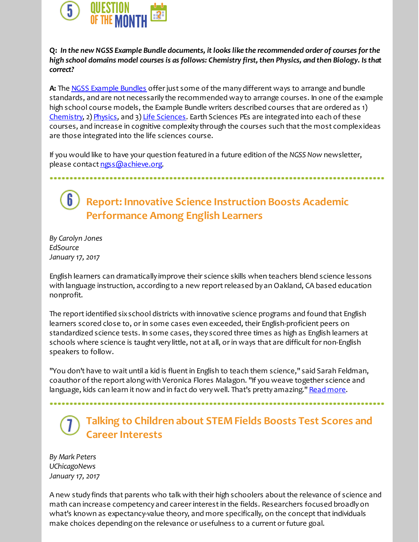

**Q:** *In the new NGSS Example Bundle documents, itlooks like the recommended order of courses forthe high school domains model courses is as follows: Chemistry first, then Physics, and then Biology. Is that correct?*

**A:** The NGSS [Example](http://r20.rs6.net/tn.jsp?f=001oZPeFO71mZxRLju5himT42Ro4rYze3HOSBzzmSugGF1bFosOlz9DCBJzkTrzzQ4KTy83A58gDFugzX3rIHKSa7A0Polmmvr-vYIE_cmnx-ORJ0KWoKnjV3K30xs2wGzvHwTuNVdtPGb0dvlHg7HFw33dPT3bYcYnKhxyxVo2b5zg0ZMSCnpU2NLk0NWcXojU99IDL78QFOJFQoYafjAEPQ==&c=&ch=) Bundles offer just some of the many different ways to arrange and bundle standards, and are not necessarily the recommended way to arrange courses. In one of the example high school course models, the Example Bundle writers described courses that are ordered as 1) [Chemistry](http://r20.rs6.net/tn.jsp?f=001oZPeFO71mZxRLju5himT42Ro4rYze3HOSBzzmSugGF1bFosOlz9DCBJzkTrzzQ4KArrWYo30G8BVBETwTK2YshuRIbhJ1nlwWVuxorB-VRr4r4kBMI3LzbsSUh2trWi0k0UHTOh-8daExYfa1G4wlhlOhZN3GlbozVQN7BDbEgFhBdOM_iUy6ympAan531DSHPvdi8IlT70-RLlHw1zCyGSih1X1tqFnmxHNJJqLjuQAq6rxtSpISr5evbU6lR3XkipizVGi30I=&c=&ch=), 2) [Physics](http://r20.rs6.net/tn.jsp?f=001oZPeFO71mZxRLju5himT42Ro4rYze3HOSBzzmSugGF1bFosOlz9DCBJzkTrzzQ4K0RBoyOH7V68O2UjDMZzMH3_s8kB8J6xEqESmlPyR4rlCL6FwBnaABI40z2w_-LIgYu3VhXXM9FWv1_POV11_7YilKta3KC0c4UKtsQLMhZKkXWeza0wvGZopKHdw7ZRoXN2_miy6TjSk6omM8DCrhBtsdUBPqUz24VojSM60dqmdpWJ7itAvqgWQzRJaQ6_TOEHweacIUaS6ZOyxlUEkZw==&c=&ch=), and 3) Life [Sciences](http://r20.rs6.net/tn.jsp?f=001oZPeFO71mZxRLju5himT42Ro4rYze3HOSBzzmSugGF1bFosOlz9DCBJzkTrzzQ4KI-6dD7ssw5NQ5wXUeEidbhyC7TjoKqcRvuMMwd3r97cJqgvCLSJniYgHG0Bt1ANhccLGUaUs0JpIdCsKA0oOI1MLaCzAql3aoRVIOsvnaDiEghCJyEabdv1r0WJ4icup4N2ov7xNRJiAsbqIO_M-t-iOX3CmUTZ3DG_tvVUxhZshBwhbBSnC-4Tm84hJThH3QXZFVo5OJ7k=&c=&ch=). Earth Sciences PEs are integrated into each of these courses, and increase in cognitive complexity through the courses such thatthe most complexideas are those integrated into the life sciences course.

If you would like to have your question featured in a future edition of the *NGSS Now* newsletter, please contact [ngss@achieve.org](mailto:ngss@achieve.org).

 $\boldsymbol{\theta}$ **Report: Innovative Science Instruction Boosts Academic Performance Among English Learners**

*By Carolyn Jones EdSource January 17, 2017*

English learners can dramatically improve their science skills when teachers blend science lessons with language instruction, according to a new report released by an Oakland, CA based education nonprofit.

The report identified six school districts with innovative science programs and found that English learners scored close to, or in some cases even exceeded, their English-proficient peers on standardized science tests. In some cases, they scored three times as high as English learners at schools where science is taught very little, not at all, or in ways that are difficult for non-English speakers to follow.

"You don't have to wait until a kid is fluentin English to teach them science," said Sarah Feldman, coauthor of the report alongwith Veronica Flores Malagon. "If you weave together science and language, kids can learn it now and in fact do very well. That's pretty amazing." Read [more](http://r20.rs6.net/tn.jsp?f=001oZPeFO71mZxRLju5himT42Ro4rYze3HOSBzzmSugGF1bFosOlz9DCBJzkTrzzQ4K9a2ME5aymhAdcl6QdfGs-z1OFJ6Cj_Z4LNLETxaCz0y38nILZ4XYgHROqcJQ7vAdyMF0CBL30zR0F7E-pQET2Ml9-6exPF04RTPPi5i0r9ZXZTOekLPK6lJdNVOJ7wDXc40hkAT-BzUejvhxuNJ-eQRpJIx30ooNKfdIl80CCZN6A7lrh-COLocZWywfK4yfkmLOuRt25BPp1TP9XHwN8vV3iTkaNIKbb6WXIeK-eTq0-9s50wtINQ==&c=&ch=).

#### **Talking to Children about STEM Fields Boosts Test Scores and Career Interests**

*By Mark Peters UChicagoNews January 17, 2017*

A new study finds that parents who talk with their high schoolers about the relevance of science and math can increase competency and career interestin the fields. Researchers focused broadly on what's known as expectancy-value theory, and more specifically, on the concept that individuals make choices dependingon the relevance or usefulness to a current or future goal.